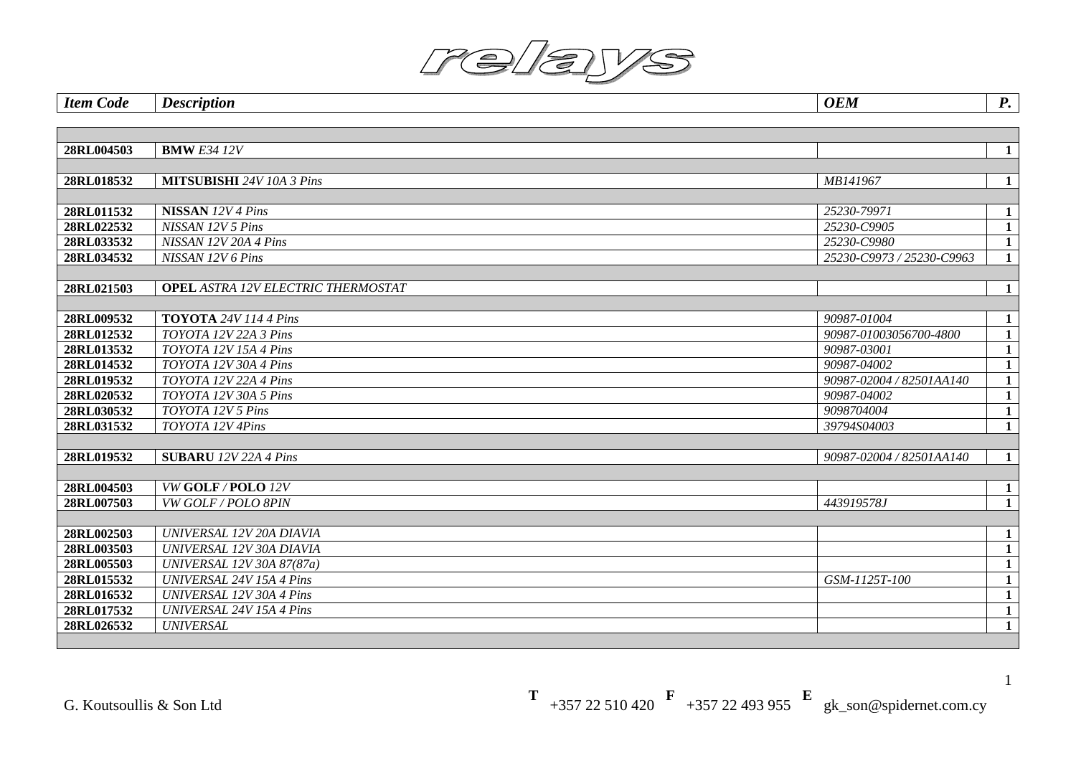| <b>Item Code</b> | <b>Description</b>                        | <b>OEM</b>                | $\boldsymbol{P}$ . |
|------------------|-------------------------------------------|---------------------------|--------------------|
|                  |                                           |                           |                    |
|                  |                                           |                           |                    |
| 28RL004503       | <b>BMW E34 12V</b>                        |                           | $\mathbf{1}$       |
|                  |                                           |                           |                    |
| 28RL018532       | <b>MITSUBISHI</b> 24V 10A 3 Pins          | MB141967                  | $\mathbf{1}$       |
|                  |                                           |                           |                    |
| 28RL011532       | <b>NISSAN</b> 12V 4 Pins                  | 25230-79971               | $\mathbf{1}$       |
| 28RL022532       | NISSAN 12V 5 Pins                         | 25230-C9905               | $\mathbf{1}$       |
| 28RL033532       | NISSAN 12V 20A 4 Pins                     | 25230-C9980               | $\mathbf{1}$       |
| 28RL034532       | NISSAN 12V 6 Pins                         | 25230-C9973 / 25230-C9963 | $\mathbf{1}$       |
|                  |                                           |                           |                    |
| 28RL021503       | <b>OPEL ASTRA 12V ELECTRIC THERMOSTAT</b> |                           | $\mathbf{1}$       |
|                  |                                           |                           |                    |
| 28RL009532       | <b>TOYOTA</b> 24V 114 4 Pins              | 90987-01004               | $\mathbf{1}$       |
| 28RL012532       | TOYOTA 12V 22A 3 Pins                     | 90987-01003056700-4800    | $\mathbf{1}$       |
| 28RL013532       | TOYOTA 12V 15A 4 Pins                     | 90987-03001               | $\mathbf{1}$       |
| 28RL014532       | TOYOTA 12V 30A 4 Pins                     | 90987-04002               | $\mathbf{1}$       |
| 28RL019532       | TOYOTA 12V 22A 4 Pins                     | 90987-02004 / 82501AA140  | $\mathbf{1}$       |
| 28RL020532       | TOYOTA 12V 30A 5 Pins                     | 90987-04002               | $\mathbf{1}$       |
| 28RL030532       | TOYOTA 12V 5 Pins                         | 9098704004                | $\mathbf{1}$       |
| 28RL031532       | TOYOTA 12V 4Pins                          | 39794S04003               | $\mathbf{1}$       |
|                  |                                           |                           |                    |
| 28RL019532       | <b>SUBARU</b> 12V 22A 4 Pins              | 90987-02004 / 82501AA140  | $\mathbf{1}$       |
|                  |                                           |                           |                    |
| 28RL004503       | VW GOLF/POLO 12V                          |                           | $\mathbf{1}$       |
| 28RL007503       | VW GOLF / POLO 8PIN                       | 443919578J                | $\mathbf{1}$       |
|                  |                                           |                           |                    |
| 28RL002503       | UNIVERSAL 12V 20A DIAVIA                  |                           | $\mathbf{1}$       |
| 28RL003503       | UNIVERSAL 12V 30A DIAVIA                  |                           | $\mathbf{1}$       |
| 28RL005503       | UNIVERSAL 12V 30A 87(87a)                 |                           | $\mathbf{1}$       |
| 28RL015532       | <b>UNIVERSAL 24V 15A 4 Pins</b>           | GSM-1125T-100             | $\mathbf{1}$       |
| 28RL016532       | <b>UNIVERSAL 12V 30A 4 Pins</b>           |                           | $\mathbf{1}$       |
| 28RL017532       | <b>UNIVERSAL 24V 15A 4 Pins</b>           |                           | $\overline{1}$     |
| 28RL026532       | <b>UNIVERSAL</b>                          |                           | $\overline{1}$     |
|                  |                                           |                           |                    |

**T** +357 22 510 420 **F** +357 22 493 955 **E** gk\_son@spidernet.com.cy

1